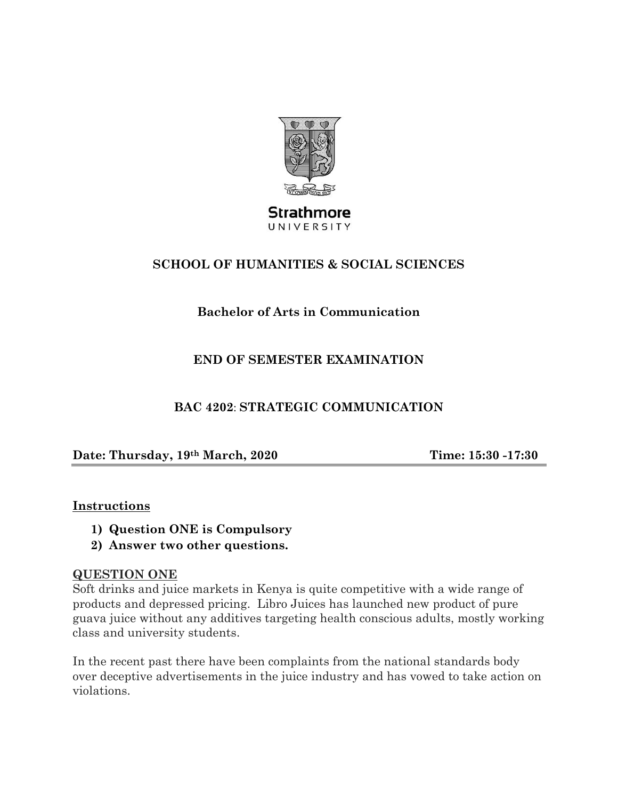

**Strathmore** UNIVERSITY

# **SCHOOL OF HUMANITIES & SOCIAL SCIENCES**

# **Bachelor of Arts in Communication**

# **END OF SEMESTER EXAMINATION**

# **BAC 4202**: **STRATEGIC COMMUNICATION**

**Date: Thursday, 19th March, 2020 Time: 15:30 -17:30** 

### **Instructions**

- **1) Question ONE is Compulsory**
- **2) Answer two other questions.**

## **QUESTION ONE**

Soft drinks and juice markets in Kenya is quite competitive with a wide range of products and depressed pricing. Libro Juices has launched new product of pure guava juice without any additives targeting health conscious adults, mostly working class and university students.

In the recent past there have been complaints from the national standards body over deceptive advertisements in the juice industry and has vowed to take action on violations.